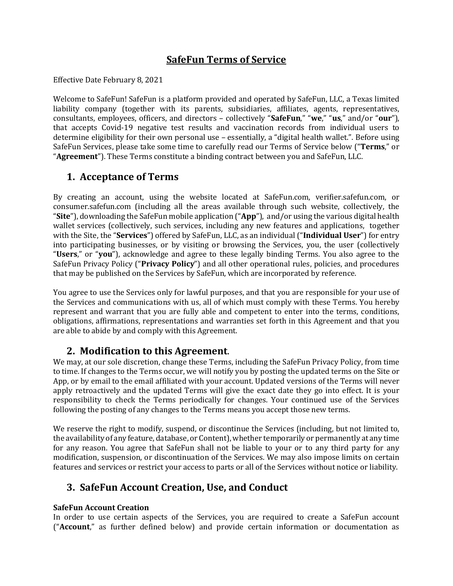# **SafeFun Terms of Service**

Effective Date February 8, 2021

Welcome to SafeFun! SafeFun is a platform provided and operated by SafeFun, LLC, a Texas limited liability company (together with its parents, subsidiaries, affiliates, agents, representatives, consultants, employees, officers, and directors – collectively "**SafeFun**," "**we**," "**us**," and/or "**our**"), that accepts Covid-19 negative test results and vaccination records from individual users to determine eligibility for their own personal use – essentially, a "digital health wallet.". Before using SafeFun Services, please take some time to carefully read our Terms of Service below ("**Terms**," or "**Agreement**"). These Terms constitute a binding contract between you and SafeFun, LLC.

### **1. Acceptance of Terms**

By creating an account, using the website located at SafeFun.com, verifier.safefun.com, or consumer.safefun.com (including all the areas available through such website, collectively, the "**Site**"), downloading the SafeFun mobile application ("**App**"), and/or using the various digital health wallet services (collectively, such services, including any new features and applications, together with the Site, the "**Services**") offered by SafeFun, LLC, as an individual ("**Individual User**") for entry into participating businesses, or by visiting or browsing the Services, you, the user (collectively "**Users**," or "**you**"), acknowledge and agree to these legally binding Terms. You also agree to the SafeFun Privacy Policy ("**Privacy Policy**") and all other operational rules, policies, and procedures that may be published on the Services by SafeFun, which are incorporated by reference.

You agree to use the Services only for lawful purposes, and that you are responsible for your use of the Services and communications with us, all of which must comply with these Terms. You hereby represent and warrant that you are fully able and competent to enter into the terms, conditions, obligations, affirmations, representations and warranties set forth in this Agreement and that you are able to abide by and comply with this Agreement.

**2. Modification to this Agreement**. We may, at our sole discretion, change these Terms, including the SafeFun Privacy Policy, from time to time. If changes to the Terms occur, we will notify you by posting the updated terms on the Site or App, or by email to the email affiliated with your account. Updated versions of the Terms will never apply retroactively and the updated Terms will give the exact date they go into effect. It is your responsibility to check the Terms periodically for changes. Your continued use of the Services following the posting of any changes to the Terms means you accept those new terms.

We reserve the right to modify, suspend, or discontinue the Services (including, but not limited to, the availability of any feature, database, or Content), whether temporarily or permanently at any time for any reason. You agree that SafeFun shall not be liable to your or to any third party for any modification, suspension, or discontinuation of the Services. We may also impose limits on certain features and services or restrict your access to parts or all of the Services without notice or liability.

### **3. SafeFun Account Creation, Use, and Conduct**

### **SafeFun Account Creation**

In order to use certain aspects of the Services, you are required to create a SafeFun account ("**Account**," as further defined below) and provide certain information or documentation as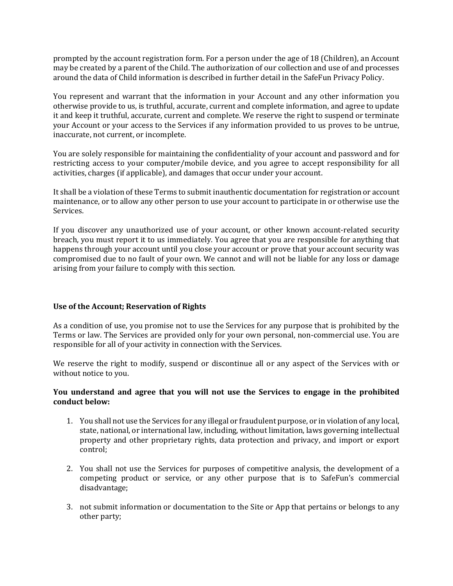prompted by the account registration form. For a person under the age of 18 (Children), an Account may be created by a parent of the Child. The authorization of our collection and use of and processes around the data of Child information is described in further detail in the SafeFun Privacy Policy.

You represent and warrant that the information in your Account and any other information you otherwise provide to us, is truthful, accurate, current and complete information, and agree to update it and keep it truthful, accurate, current and complete. We reserve the right to suspend or terminate your Account or your access to the Services if any information provided to us proves to be untrue, inaccurate, not current, or incomplete.

You are solely responsible for maintaining the confidentiality of your account and password and for restricting access to your computer/mobile device, and you agree to accept responsibility for all activities, charges (if applicable), and damages that occur under your account.

It shall be a violation of these Terms to submit inauthentic documentation for registration or account maintenance, or to allow any other person to use your account to participate in or otherwise use the Services.

If you discover any unauthorized use of your account, or other known account-related security breach, you must report it to us immediately. You agree that you are responsible for anything that happens through your account until you close your account or prove that your account security was compromised due to no fault of your own. We cannot and will not be liable for any loss or damage arising from your failure to comply with this section.

#### **Use of the Account; Reservation of Rights**

As a condition of use, you promise not to use the Services for any purpose that is prohibited by the Terms or law. The Services are provided only for your own personal, non-commercial use. You are responsible for all of your activity in connection with the Services.

We reserve the right to modify, suspend or discontinue all or any aspect of the Services with or without notice to you.

#### **You understand and agree that you will not use the Services to engage in the prohibited conduct below:**

- 1. You shall not use the Services for any illegal or fraudulent purpose, or in violation of any local, state, national, or international law, including, without limitation, laws governing intellectual property and other proprietary rights, data protection and privacy, and import or export control;
- 2. You shall not use the Services for purposes of competitive analysis, the development of a competing product or service, or any other purpose that is to SafeFun's commercial disadvantage;
- 3. not submit information or documentation to the Site or App that pertains or belongs to any other party;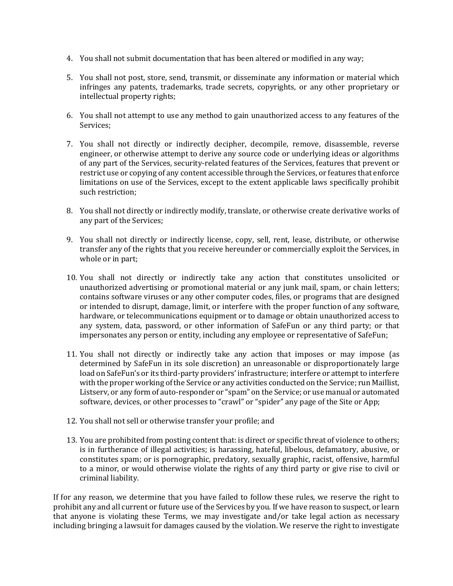- 4. You shall not submit documentation that has been altered or modified in any way;
- 5. You shall not post, store, send, transmit, or disseminate any information or material which infringes any patents, trademarks, trade secrets, copyrights, or any other proprietary or intellectual property rights;
- 6. You shall not attempt to use any method to gain unauthorized access to any features of the Services;
- 7. You shall not directly or indirectly decipher, decompile, remove, disassemble, reverse engineer, or otherwise attempt to derive any source code or underlying ideas or algorithms of any part of the Services, security-related features of the Services, features that prevent or restrict use or copying of any content accessible through the Services, or features that enforce limitations on use of the Services, except to the extent applicable laws specifically prohibit such restriction;
- 8. You shall not directly or indirectly modify, translate, or otherwise create derivative works of any part of the Services;
- 9. You shall not directly or indirectly license, copy, sell, rent, lease, distribute, or otherwise transfer any of the rights that you receive hereunder or commercially exploit the Services, in whole or in part;
- 10. You shall not directly or indirectly take any action that constitutes unsolicited or unauthorized advertising or promotional material or any junk mail, spam, or chain letters; contains software viruses or any other computer codes, files, or programs that are designed or intended to disrupt, damage, limit, or interfere with the proper function of any software, hardware, or telecommunications equipment or to damage or obtain unauthorized access to any system, data, password, or other information of SafeFun or any third party; or that impersonates any person or entity, including any employee or representative of SafeFun;
- 11. You shall not directly or indirectly take any action that imposes or may impose (as determined by SafeFun in its sole discretion) an unreasonable or disproportionately large load on SafeFun's or its third-party providers' infrastructure; interfere or attempt to interfere with the proper working of the Service or any activities conducted on the Service; run Maillist, Listserv, or any form of auto-responder or "spam" on the Service; or use manual or automated software, devices, or other processes to "crawl" or "spider" any page of the Site or App;
- 12. You shall not sell or otherwise transfer your profile; and
- 13. You are prohibited from posting content that: is direct or specific threat of violence to others; is in furtherance of illegal activities; is harassing, hateful, libelous, defamatory, abusive, or constitutes spam; or is pornographic, predatory, sexually graphic, racist, offensive, harmful to a minor, or would otherwise violate the rights of any third party or give rise to civil or criminal liability.

If for any reason, we determine that you have failed to follow these rules, we reserve the right to prohibit any and all current or future use of the Services by you. If we have reason to suspect, or learn that anyone is violating these Terms, we may investigate and/or take legal action as necessary including bringing a lawsuit for damages caused by the violation. We reserve the right to investigate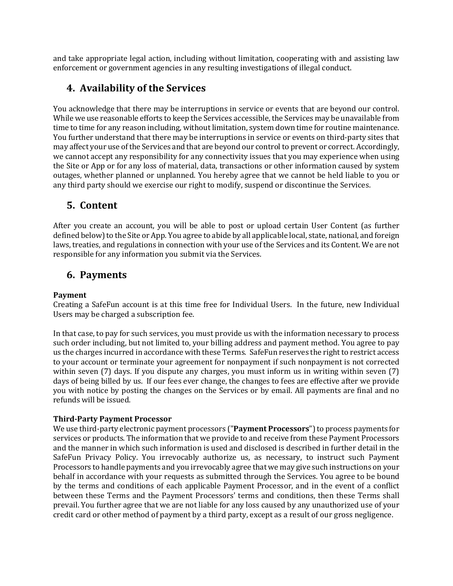and take appropriate legal action, including without limitation, cooperating with and assisting law enforcement or government agencies in any resulting investigations of illegal conduct.

## **4. Availability of the Services**

You acknowledge that there may be interruptions in service or events that are beyond our control. While we use reasonable efforts to keep the Services accessible, the Services may be unavailable from time to time for any reason including, without limitation, system down time for routine maintenance. You further understand that there may be interruptions in service or events on third-party sites that may affect your use of the Services and that are beyond our control to prevent or correct. Accordingly, we cannot accept any responsibility for any connectivity issues that you may experience when using the Site or App or for any loss of material, data, transactions or other information caused by system outages, whether planned or unplanned. You hereby agree that we cannot be held liable to you or any third party should we exercise our right to modify, suspend or discontinue the Services.

### **5. Content**

After you create an account, you will be able to post or upload certain User Content (as further defined below) to the Site or App. You agree to abide by all applicable local, state, national, and foreign laws, treaties, and regulations in connection with your use of the Services and its Content. We are not responsible for any information you submit via the Services.

### **6. Payments**

### **Payment**

Creating a SafeFun account is at this time free for Individual Users. In the future, new Individual Users may be charged a subscription fee.

In that case, to pay for such services, you must provide us with the information necessary to process such order including, but not limited to, your billing address and payment method. You agree to pay us the charges incurred in accordance with these Terms. SafeFun reserves the right to restrict access to your account or terminate your agreement for nonpayment if such nonpayment is not corrected within seven (7) days. If you dispute any charges, you must inform us in writing within seven (7) days of being billed by us. If our fees ever change, the changes to fees are effective after we provide you with notice by posting the changes on the Services or by email. All payments are final and no refunds will be issued.

### **Third-Party Payment Processor**

We use third-party electronic payment processors ("**Payment Processors**") to process payments for services or products. The information that we provide to and receive from these Payment Processors and the manner in which such information is used and disclosed is described in further detail in the SafeFun Privacy Policy. You irrevocably authorize us, as necessary, to instruct such Payment Processors to handle payments and you irrevocably agree that we may give such instructions on your behalf in accordance with your requests as submitted through the Services. You agree to be bound by the terms and conditions of each applicable Payment Processor, and in the event of a conflict between these Terms and the Payment Processors' terms and conditions, then these Terms shall prevail. You further agree that we are not liable for any loss caused by any unauthorized use of your credit card or other method of payment by a third party, except as a result of our gross negligence.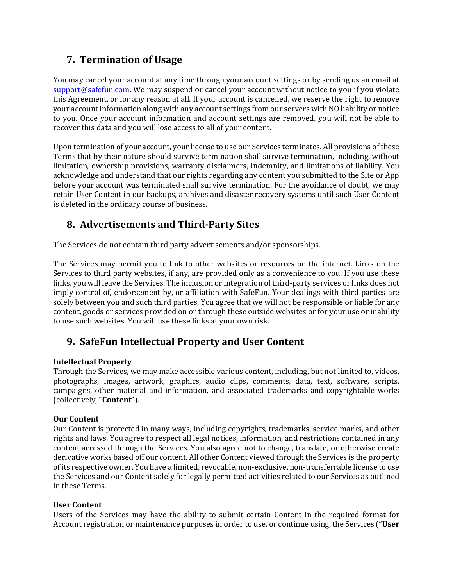# **7. Termination of Usage**

You may cancel your account at any time through your account settings or by sending us an email at [support@safefun.com.](mailto:support@safefun.com) We may suspend or cancel your account without notice to you if you violate this Agreement, or for any reason at all. If your account is cancelled, we reserve the right to remove your account information along with any account settings from our servers with NO liability or notice to you. Once your account information and account settings are removed, you will not be able to recover this data and you will lose access to all of your content.

Upon termination of your account, your license to use our Services terminates. All provisions of these Terms that by their nature should survive termination shall survive termination, including, without limitation, ownership provisions, warranty disclaimers, indemnity, and limitations of liability. You acknowledge and understand that our rights regarding any content you submitted to the Site or App before your account was terminated shall survive termination. For the avoidance of doubt, we may retain User Content in our backups, archives and disaster recovery systems until such User Content is deleted in the ordinary course of business.

# **8. Advertisements and Third-Party Sites**

The Services do not contain third party advertisements and/or sponsorships.

The Services may permit you to link to other websites or resources on the internet. Links on the Services to third party websites, if any, are provided only as a convenience to you. If you use these links, you will leave the Services. The inclusion or integration of third-party services or links does not imply control of, endorsement by, or affiliation with SafeFun. Your dealings with third parties are solely between you and such third parties. You agree that we will not be responsible or liable for any content, goods or services provided on or through these outside websites or for your use or inability to use such websites. You will use these links at your own risk.

# **9. SafeFun Intellectual Property and User Content**

### **Intellectual Property**

Through the Services, we may make accessible various content, including, but not limited to, videos, photographs, images, artwork, graphics, audio clips, comments, data, text, software, scripts, campaigns, other material and information, and associated trademarks and copyrightable works (collectively, "**Content**").

### **Our Content**

Our Content is protected in many ways, including copyrights, trademarks, service marks, and other rights and laws. You agree to respect all legal notices, information, and restrictions contained in any content accessed through the Services. You also agree not to change, translate, or otherwise create derivative works based off our content. All other Content viewed through the Services is the property of its respective owner. You have a limited, revocable, non-exclusive, non-transferrable license to use the Services and our Content solely for legally permitted activities related to our Services as outlined in these Terms.

### **User Content**

Users of the Services may have the ability to submit certain Content in the required format for Account registration or maintenance purposes in order to use, or continue using, the Services ("**User**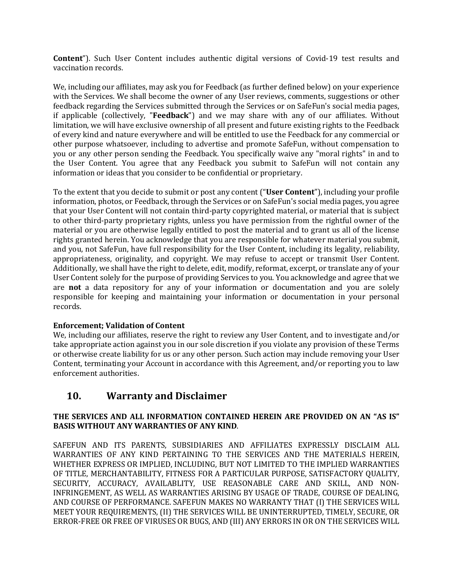**Content**"). Such User Content includes authentic digital versions of Covid-19 test results and vaccination records.

We, including our affiliates, may ask you for Feedback (as further defined below) on your experience with the Services. We shall become the owner of any User reviews, comments, suggestions or other feedback regarding the Services submitted through the Services or on SafeFun's social media pages, if applicable (collectively, "**Feedback**") and we may share with any of our affiliates. Without limitation, we will have exclusive ownership of all present and future existing rights to the Feedback of every kind and nature everywhere and will be entitled to use the Feedback for any commercial or other purpose whatsoever, including to advertise and promote SafeFun, without compensation to you or any other person sending the Feedback. You specifically waive any "moral rights" in and to the User Content. You agree that any Feedback you submit to SafeFun will not contain any information or ideas that you consider to be confidential or proprietary.

To the extent that you decide to submit or post any content ("**User Content**"), including your profile information, photos, or Feedback, through the Services or on SafeFun's social media pages, you agree that your User Content will not contain third-party copyrighted material, or material that is subject to other third-party proprietary rights, unless you have permission from the rightful owner of the material or you are otherwise legally entitled to post the material and to grant us all of the license rights granted herein. You acknowledge that you are responsible for whatever material you submit, and you, not SafeFun, have full responsibility for the User Content, including its legality, reliability, appropriateness, originality, and copyright. We may refuse to accept or transmit User Content. Additionally, we shall have the right to delete, edit, modify, reformat, excerpt, or translate any of your User Content solely for the purpose of providing Services to you. You acknowledge and agree that we are **not** a data repository for any of your information or documentation and you are solely responsible for keeping and maintaining your information or documentation in your personal records.

### **Enforcement; Validation of Content**

We, including our affiliates, reserve the right to review any User Content, and to investigate and/or take appropriate action against you in our sole discretion if you violate any provision of these Terms or otherwise create liability for us or any other person. Such action may include removing your User Content, terminating your Account in accordance with this Agreement, and/or reporting you to law enforcement authorities.

### **10. Warranty and Disclaimer**

### **THE SERVICES AND ALL INFORMATION CONTAINED HEREIN ARE PROVIDED ON AN "AS IS" BASIS WITHOUT ANY WARRANTIES OF ANY KIND**.

SAFEFUN AND ITS PARENTS, SUBSIDIARIES AND AFFILIATES EXPRESSLY DISCLAIM ALL WARRANTIES OF ANY KIND PERTAINING TO THE SERVICES AND THE MATERIALS HEREIN, WHETHER EXPRESS OR IMPLIED, INCLUDING, BUT NOT LIMITED TO THE IMPLIED WARRANTIES OF TITLE, MERCHANTABILITY, FITNESS FOR A PARTICULAR PURPOSE, SATISFACTORY QUALITY, SECURITY, ACCURACY, AVAILABLITY, USE REASONABLE CARE AND SKILL, AND NON-INFRINGEMENT, AS WELL AS WARRANTIES ARISING BY USAGE OF TRADE, COURSE OF DEALING, AND COURSE OF PERFORMANCE. SAFEFUN MAKES NO WARRANTY THAT (I) THE SERVICES WILL MEET YOUR REQUIREMENTS, (II) THE SERVICES WILL BE UNINTERRUPTED, TIMELY, SECURE, OR ERROR-FREE OR FREE OF VIRUSES OR BUGS, AND (III) ANY ERRORS IN OR ON THE SERVICES WILL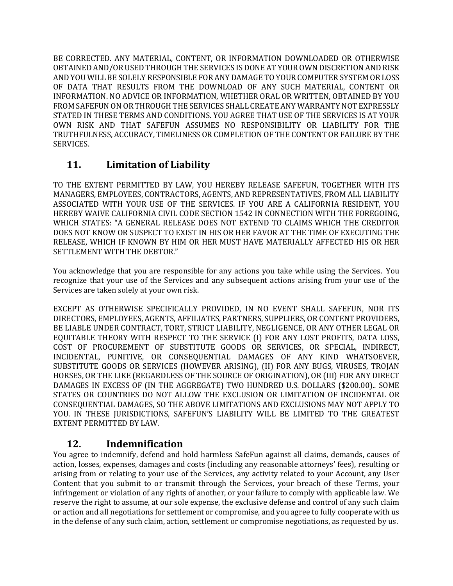BE CORRECTED. ANY MATERIAL, CONTENT, OR INFORMATION DOWNLOADED OR OTHERWISE OBTAINED AND/OR USED THROUGH THE SERVICES IS DONE AT YOUR OWN DISCRETION AND RISK AND YOU WILL BE SOLELY RESPONSIBLE FOR ANY DAMAGE TO YOUR COMPUTER SYSTEM OR LOSS OF DATA THAT RESULTS FROM THE DOWNLOAD OF ANY SUCH MATERIAL, CONTENT OR INFORMATION. NO ADVICE OR INFORMATION, WHETHER ORAL OR WRITTEN, OBTAINED BY YOU FROM SAFEFUN ON OR THROUGH THE SERVICES SHALL CREATE ANY WARRANTY NOT EXPRESSLY STATED IN THESE TERMS AND CONDITIONS. YOU AGREE THAT USE OF THE SERVICES IS AT YOUR OWN RISK AND THAT SAFEFUN ASSUMES NO RESPONSIBILITY OR LIABILITY FOR THE TRUTHFULNESS, ACCURACY, TIMELINESS OR COMPLETION OF THE CONTENT OR FAILURE BY THE SERVICES.

# **11. Limitation of Liability**

TO THE EXTENT PERMITTED BY LAW, YOU HEREBY RELEASE SAFEFUN, TOGETHER WITH ITS MANAGERS, EMPLOYEES, CONTRACTORS, AGENTS, AND REPRESENTATIVES, FROM ALL LIABILITY ASSOCIATED WITH YOUR USE OF THE SERVICES. IF YOU ARE A CALIFORNIA RESIDENT, YOU HEREBY WAIVE CALIFORNIA CIVIL CODE SECTION 1542 IN CONNECTION WITH THE FOREGOING, WHICH STATES: "A GENERAL RELEASE DOES NOT EXTEND TO CLAIMS WHICH THE CREDITOR DOES NOT KNOW OR SUSPECT TO EXIST IN HIS OR HER FAVOR AT THE TIME OF EXECUTING THE RELEASE, WHICH IF KNOWN BY HIM OR HER MUST HAVE MATERIALLY AFFECTED HIS OR HER SETTLEMENT WITH THE DEBTOR."

You acknowledge that you are responsible for any actions you take while using the Services. You recognize that your use of the Services and any subsequent actions arising from your use of the Services are taken solely at your own risk.

EXCEPT AS OTHERWISE SPECIFICALLY PROVIDED, IN NO EVENT SHALL SAFEFUN, NOR ITS DIRECTORS, EMPLOYEES, AGENTS, AFFILIATES, PARTNERS, SUPPLIERS, OR CONTENT PROVIDERS, BE LIABLE UNDER CONTRACT, TORT, STRICT LIABILITY, NEGLIGENCE, OR ANY OTHER LEGAL OR EQUITABLE THEORY WITH RESPECT TO THE SERVICE (I) FOR ANY LOST PROFITS, DATA LOSS, COST OF PROCUREMENT OF SUBSTITUTE GOODS OR SERVICES, OR SPECIAL, INDIRECT, INCIDENTAL, PUNITIVE, OR CONSEQUENTIAL DAMAGES OF ANY KIND WHATSOEVER, SUBSTITUTE GOODS OR SERVICES (HOWEVER ARISING), (II) FOR ANY BUGS, VIRUSES, TROJAN HORSES, OR THE LIKE (REGARDLESS OF THE SOURCE OF ORIGINATION), OR (III) FOR ANY DIRECT DAMAGES IN EXCESS OF (IN THE AGGREGATE) TWO HUNDRED U.S. DOLLARS (\$200.00).. SOME STATES OR COUNTRIES DO NOT ALLOW THE EXCLUSION OR LIMITATION OF INCIDENTAL OR CONSEQUENTIAL DAMAGES, SO THE ABOVE LIMITATIONS AND EXCLUSIONS MAY NOT APPLY TO YOU. IN THESE JURISDICTIONS, SAFEFUN'S LIABILITY WILL BE LIMITED TO THE GREATEST EXTENT PERMITTED BY LAW.

### **12. Indemnification**

You agree to indemnify, defend and hold harmless SafeFun against all claims, demands, causes of action, losses, expenses, damages and costs (including any reasonable attorneys' fees), resulting or arising from or relating to your use of the Services, any activity related to your Account, any User Content that you submit to or transmit through the Services, your breach of these Terms, your infringement or violation of any rights of another, or your failure to comply with applicable law. We reserve the right to assume, at our sole expense, the exclusive defense and control of any such claim or action and all negotiations for settlement or compromise, and you agree to fully cooperate with us in the defense of any such claim, action, settlement or compromise negotiations, as requested by us.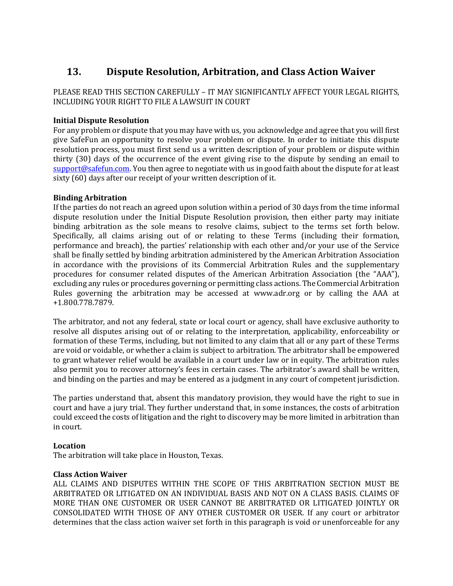# **13. Dispute Resolution, Arbitration, and Class Action Waiver**

### PLEASE READ THIS SECTION CAREFULLY – IT MAY SIGNIFICANTLY AFFECT YOUR LEGAL RIGHTS, INCLUDING YOUR RIGHT TO FILE A LAWSUIT IN COURT

### **Initial Dispute Resolution**

For any problem or dispute that you may have with us, you acknowledge and agree that you will first give SafeFun an opportunity to resolve your problem or dispute. In order to initiate this dispute resolution process, you must first send us a written description of your problem or dispute within thirty (30) days of the occurrence of the event giving rise to the dispute by sending an email to [support@safefun.com.](mailto:support@safefun.com) You then agree to negotiate with us in good faith about the dispute for at least sixty (60) days after our receipt of your written description of it.

### **Binding Arbitration**

If the parties do not reach an agreed upon solution within a period of 30 days from the time informal dispute resolution under the Initial Dispute Resolution provision, then either party may initiate binding arbitration as the sole means to resolve claims, subject to the terms set forth below. Specifically, all claims arising out of or relating to these Terms (including their formation, performance and breach), the parties' relationship with each other and/or your use of the Service shall be finally settled by binding arbitration administered by the American Arbitration Association in accordance with the provisions of its Commercial Arbitration Rules and the supplementary procedures for consumer related disputes of the American Arbitration Association (the "AAA"), excluding any rules or procedures governing or permitting class actions. The Commercial Arbitration Rules governing the arbitration may be accessed at www.adr.org or by calling the AAA at +1.800.778.7879.

The arbitrator, and not any federal, state or local court or agency, shall have exclusive authority to resolve all disputes arising out of or relating to the interpretation, applicability, enforceability or formation of these Terms, including, but not limited to any claim that all or any part of these Terms are void or voidable, or whether a claim is subject to arbitration. The arbitrator shall be empowered to grant whatever relief would be available in a court under law or in equity. The arbitration rules also permit you to recover attorney's fees in certain cases. The arbitrator's award shall be written, and binding on the parties and may be entered as a judgment in any court of competent jurisdiction.

The parties understand that, absent this mandatory provision, they would have the right to sue in court and have a jury trial. They further understand that, in some instances, the costs of arbitration could exceed the costs of litigation and the right to discovery may be more limited in arbitration than in court.

### **Location**

The arbitration will take place in Houston, Texas.

### **Class Action Waiver**

ALL CLAIMS AND DISPUTES WITHIN THE SCOPE OF THIS ARBITRATION SECTION MUST BE ARBITRATED OR LITIGATED ON AN INDIVIDUAL BASIS AND NOT ON A CLASS BASIS. CLAIMS OF MORE THAN ONE CUSTOMER OR USER CANNOT BE ARBITRATED OR LITIGATED JOINTLY OR CONSOLIDATED WITH THOSE OF ANY OTHER CUSTOMER OR USER. If any court or arbitrator determines that the class action waiver set forth in this paragraph is void or unenforceable for any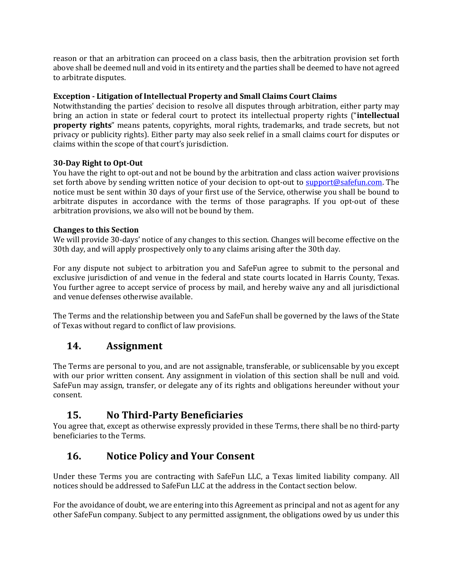reason or that an arbitration can proceed on a class basis, then the arbitration provision set forth above shall be deemed null and void in its entirety and the parties shall be deemed to have not agreed to arbitrate disputes.

### **Exception - Litigation of Intellectual Property and Small Claims Court Claims**

Notwithstanding the parties' decision to resolve all disputes through arbitration, either party may bring an action in state or federal court to protect its intellectual property rights ("**intellectual property rights**" means patents, copyrights, moral rights, trademarks, and trade secrets, but not privacy or publicity rights). Either party may also seek relief in a small claims court for disputes or claims within the scope of that court's jurisdiction.

### **30-Day Right to Opt-Out**

You have the right to opt-out and not be bound by the arbitration and class action waiver provisions set forth above by sending written notice of your decision to opt-out to [support@safefun.com.](mailto:support@safefun.com) The notice must be sent within 30 days of your first use of the Service, otherwise you shall be bound to arbitrate disputes in accordance with the terms of those paragraphs. If you opt-out of these arbitration provisions, we also will not be bound by them.

### **Changes to this Section**

We will provide 30-days' notice of any changes to this section. Changes will become effective on the 30th day, and will apply prospectively only to any claims arising after the 30th day.

For any dispute not subject to arbitration you and SafeFun agree to submit to the personal and exclusive jurisdiction of and venue in the federal and state courts located in Harris County, Texas. You further agree to accept service of process by mail, and hereby waive any and all jurisdictional and venue defenses otherwise available.

The Terms and the relationship between you and SafeFun shall be governed by the laws of the State of Texas without regard to conflict of law provisions.

### **14. Assignment**

The Terms are personal to you, and are not assignable, transferable, or sublicensable by you except with our prior written consent. Any assignment in violation of this section shall be null and void. SafeFun may assign, transfer, or delegate any of its rights and obligations hereunder without your consent.

### **15. No Third-Party Beneficiaries**

You agree that, except as otherwise expressly provided in these Terms, there shall be no third-party beneficiaries to the Terms.

# **16. Notice Policy and Your Consent**

Under these Terms you are contracting with SafeFun LLC, a Texas limited liability company. All notices should be addressed to SafeFun LLC at the address in the Contact section below.

For the avoidance of doubt, we are entering into this Agreement as principal and not as agent for any other SafeFun company. Subject to any permitted assignment, the obligations owed by us under this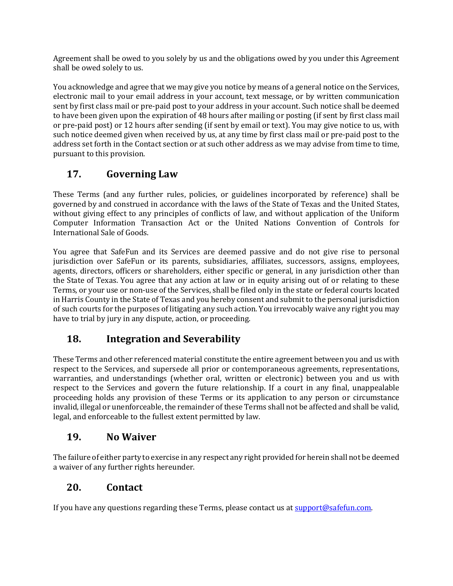Agreement shall be owed to you solely by us and the obligations owed by you under this Agreement shall be owed solely to us.

You acknowledge and agree that we may give you notice by means of a general notice on the Services, electronic mail to your email address in your account, text message, or by written communication sent by first class mail or pre-paid post to your address in your account. Such notice shall be deemed to have been given upon the expiration of 48 hours after mailing or posting (if sent by first class mail or pre-paid post) or 12 hours after sending (if sent by email or text). You may give notice to us, with such notice deemed given when received by us, at any time by first class mail or pre-paid post to the address set forth in the Contact section or at such other address as we may advise from time to time, pursuant to this provision.

# **17. Governing Law**

These Terms (and any further rules, policies, or guidelines incorporated by reference) shall be governed by and construed in accordance with the laws of the State of Texas and the United States, without giving effect to any principles of conflicts of law, and without application of the Uniform Computer Information Transaction Act or the United Nations Convention of Controls for International Sale of Goods.

You agree that SafeFun and its Services are deemed passive and do not give rise to personal jurisdiction over SafeFun or its parents, subsidiaries, affiliates, successors, assigns, employees, agents, directors, officers or shareholders, either specific or general, in any jurisdiction other than the State of Texas. You agree that any action at law or in equity arising out of or relating to these Terms, or your use or non-use of the Services, shall be filed only in the state or federal courts located in Harris County in the State of Texas and you hereby consent and submit to the personal jurisdiction of such courts for the purposes of litigating any such action. You irrevocably waive any right you may have to trial by jury in any dispute, action, or proceeding.

# **18. Integration and Severability**

These Terms and other referenced material constitute the entire agreement between you and us with respect to the Services, and supersede all prior or contemporaneous agreements, representations, warranties, and understandings (whether oral, written or electronic) between you and us with respect to the Services and govern the future relationship. If a court in any final, unappealable proceeding holds any provision of these Terms or its application to any person or circumstance invalid, illegal or unenforceable, the remainder of these Terms shall not be affected and shall be valid, legal, and enforceable to the fullest extent permitted by law.

### **19. No Waiver**

The failure of either party to exercise in any respect any right provided for herein shall not be deemed a waiver of any further rights hereunder.

# **20. Contact**

If you have any questions regarding these Terms, please contact us at [support@safefun.com.](mailto:support@safefun.com)